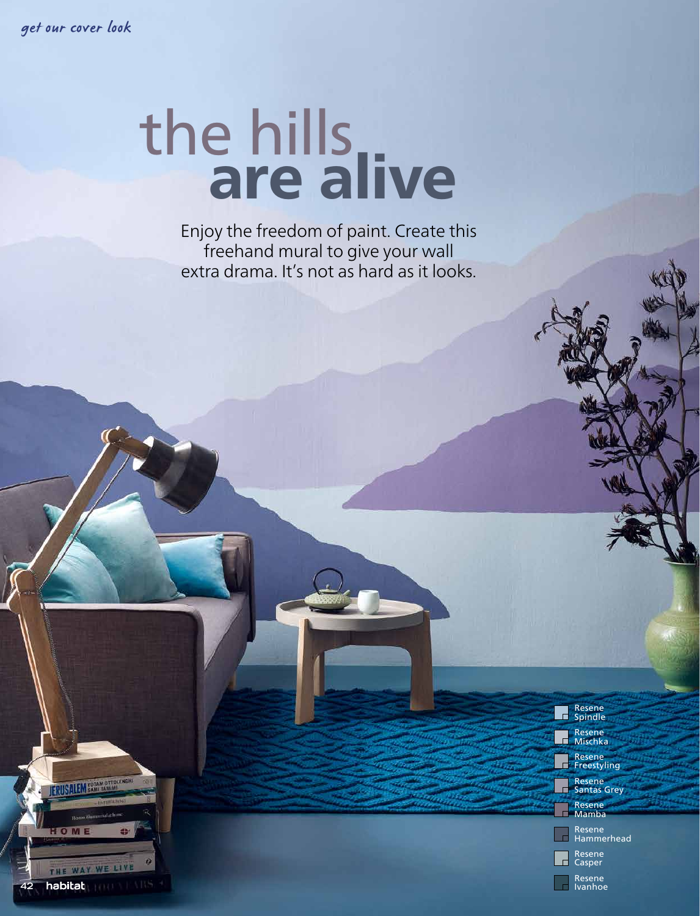## the hills are alive

Enjoy the freedom of paint. Create this freehand mural to give your wall extra drama. It's not as hard as it looks.







Ivanhoe

**habitat** 

THE WAY WE LIVE

ERUSALEM SAMI TAM

**42**